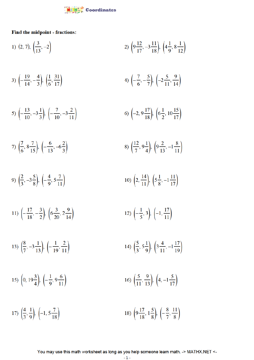

Find the midpoint - fractions:

1) 
$$
(2, 7), (\frac{3}{13}, -2)
$$
  
\n2)  $(9\frac{12}{17}, -3\frac{11}{18}), (4\frac{1}{9}, 8\frac{1}{12})$   
\n3)  $\left(-\frac{19}{14}, -\frac{4}{3}\right), \left(\frac{1}{6}, \frac{31}{17}\right)$   
\n4)  $\left(-\frac{7}{6}, -\frac{5}{7}\right), \left(-2\frac{5}{11}, \frac{9}{14}\right)$   
\n5)  $\left(-\frac{13}{10}, -3\frac{1}{3}\right), \left(-\frac{7}{10}, -3\frac{2}{11}\right)$   
\n6)  $\left(-2, 9\frac{17}{18}\right), \left(6\frac{1}{2}, 10\frac{15}{17}\right)$   
\n7)  $\left(\frac{7}{6}, 8\frac{7}{15}\right), \left(-\frac{6}{13}, -6\frac{2}{3}\right)$   
\n8)  $\left(\frac{12}{7}, 9\frac{1}{4}\right), \left(9\frac{2}{13}, -1\frac{8}{11}\right)$   
\n9)  $\left(\frac{2}{3}, -3\frac{5}{8}\right), \left(-\frac{4}{9}, 5\frac{7}{11}\right)$   
\n10)  $\left(2, \frac{14}{11}\right), \left(5\frac{1}{8}, -1\frac{11}{17}\right)$   
\n11)  $\left(-\frac{17}{18}, -\frac{3}{2}\right), \left(6\frac{3}{20}, 2\frac{9}{14}\right)$   
\n12)  $\left(-\frac{1}{5}, 3\right), \left(-1, \frac{17}{11}\right)$   
\n13)  $\left(\frac{8}{7}, -3\frac{1}{13}\right), \left(-\frac{1}{19}, \frac{2}{11}\right)$   
\n14)  $\left(\frac{5}{3}, 5\frac{1}{9}\right), \left(3\frac{4}{11}, -1\frac{17}{19}\right)$   
\n15)  $\left(0, 19\frac{3}{4}\right), \left(-\frac{1}{9}, 9\frac{6}{11}\right)$   
\n16)  $\left(\frac{5}{16}, \frac{9$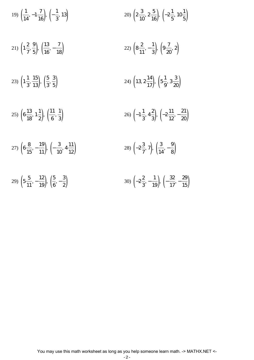19) 
$$
\left(\frac{1}{14}, -1\frac{7}{16}\right), \left(-\frac{1}{3}, 13\right)
$$
  
\n20)  $\left(2\frac{3}{10}, 2\frac{5}{16}\right), \left(-2\frac{1}{5}, 10\frac{1}{5}\right)$   
\n21)  $\left(1\frac{2}{7}, \frac{9}{5}\right), \left(\frac{13}{16}, -\frac{7}{18}\right)$   
\n22)  $\left(8\frac{2}{11}, -\frac{1}{3}\right), \left(9\frac{7}{20}, 2\right)$   
\n23)  $\left(1\frac{1}{3}, \frac{15}{13}\right), \left(\frac{5}{3}, \frac{3}{5}\right)$   
\n24)  $\left(13, 2\frac{14}{17}\right), \left(5\frac{1}{9}, 3\frac{3}{20}\right)$   
\n25)  $\left(6\frac{13}{18}, 1\frac{1}{2}\right), \left(\frac{11}{6}, \frac{1}{3}\right)$   
\n26)  $\left(-1\frac{1}{3}, 4\frac{2}{3}\right), \left(-2\frac{11}{12}, -\frac{21}{20}\right)$   
\n27)  $\left(6\frac{8}{15}, -\frac{19}{11}\right), \left(-\frac{3}{10}, 4\frac{11}{12}\right)$   
\n28)  $\left(-2\frac{3}{7}, 7\right), \left(\frac{3}{14}, -\frac{9}{8}\right)$   
\n29)  $\left(5\frac{5}{11}, -\frac{12}{19}\right), \left(\frac{5}{6}, -\frac{3}{2}\right)$   
\n30)  $\left(-2\frac{2}{3}, -\frac{1}{19}\right), \left(-\frac{32}{17}, -\frac{29}{15}\right)$ 

You may use this math worksheet as long as you help someone learn math. -> MATHX.NET <-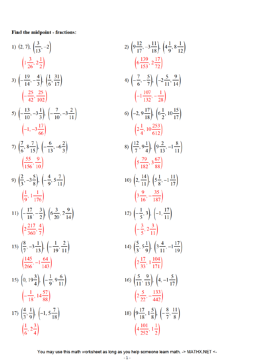## Find the midpoint - fractions:

1) 
$$
(2, 7), (\frac{3}{13}, -2)
$$
  
\n $(\frac{13}{26}, 2\frac{1}{2})$   
\n3)  $(-\frac{19}{14}, -\frac{4}{3}), (\frac{1}{6}, \frac{31}{17})$   
\n $(-\frac{25}{42}, \frac{25}{102})$   
\n5)  $(-\frac{13}{10}, -3\frac{1}{3}), (-\frac{7}{10}, -3\frac{2}{11})$   
\n $(-1, -3\frac{17}{66})$   
\n7)  $(\frac{7}{6}, 8\frac{7}{15}), (-\frac{6}{13}, -6\frac{2}{3})$   
\n $(\frac{55}{156}, \frac{9}{10})$   
\n9)  $(\frac{2}{3}, -3\frac{5}{8}), (-\frac{4}{9}, 5\frac{7}{11})$   
\n $(\frac{1}{9}, 1\frac{1}{176})$   
\n11)  $(-\frac{17}{18}, -\frac{3}{2}), (6\frac{3}{20}, 2\frac{9}{14})$   
\n $(2\frac{217}{360}, \frac{4}{7})$   
\n13)  $(\frac{8}{7}, -3\frac{1}{13}), (-\frac{1}{19}, \frac{2}{11})$   
\n $(\frac{145}{266}, -1\frac{64}{143})$   
\n15)  $(0, 19\frac{3}{4}), (-\frac{1}{9}, 9\frac{6}{11})$   
\n $(-\frac{1}{18}, 14\frac{57}{88})$   
\n17)  $(\frac{4}{3}, \frac{1}{9}), (-1, 5\frac{7}{18})$   
\n $(\frac{1}{6}, 2\frac{3}{4})$ 

2) 
$$
\left(9\frac{12}{17}, -3\frac{11}{18}\right), \left(4\frac{1}{9}, 8\frac{1}{12}\right)
$$
  
\n $\left(6\frac{139}{153}, 2\frac{17}{72}\right)$   
\n4)  $\left(-\frac{7}{6}, -\frac{5}{7}\right), \left(-2\frac{5}{11}, \frac{9}{14}\right)$   
\n $\left(-1\frac{107}{132}, -\frac{1}{28}\right)$   
\n6)  $\left(-2, 9\frac{17}{18}\right), \left(6\frac{1}{2}, 10\frac{15}{17}\right)$   
\n $\left(2\frac{1}{4}, 10\frac{253}{612}\right)$   
\n8)  $\left(\frac{12}{7}, 9\frac{1}{4}\right), \left(9\frac{2}{13}, -1\frac{8}{11}\right)$   
\n $\left(5\frac{79}{182}, 3\frac{67}{88}\right)$   
\n10)  $\left(2, \frac{14}{11}\right), \left(5\frac{1}{8}, -1\frac{11}{17}\right)$   
\n $\left(3\frac{9}{16}, -\frac{35}{187}\right)$   
\n12)  $\left(-\frac{1}{5}, 3\right), \left(-1, \frac{17}{11}\right)$   
\n $\left(-\frac{3}{5}, 2\frac{3}{11}\right)$   
\n14)  $\left(\frac{5}{3}, 5\frac{1}{9}\right), \left(3\frac{4}{11}, -1\frac{17}{19}\right)$   
\n $\left(2\frac{17}{33}, 1\frac{104}{171}\right)$   
\n16)  $\left(\frac{5}{11}, \frac{9}{13}\right), \left(4, -1\frac{5}{17}\right)$   
\n $\left(2\frac{5}{22}, -\frac{133}{442}\right)$   
\n18)  $\left(9\frac{17}{18}, 1\frac{5}{8}\right), \left(-\frac{8}{7}, \frac{11}{8}\right)$   
\n $\left(4\frac{101}{252}, 1\frac{1}{2}\right)$